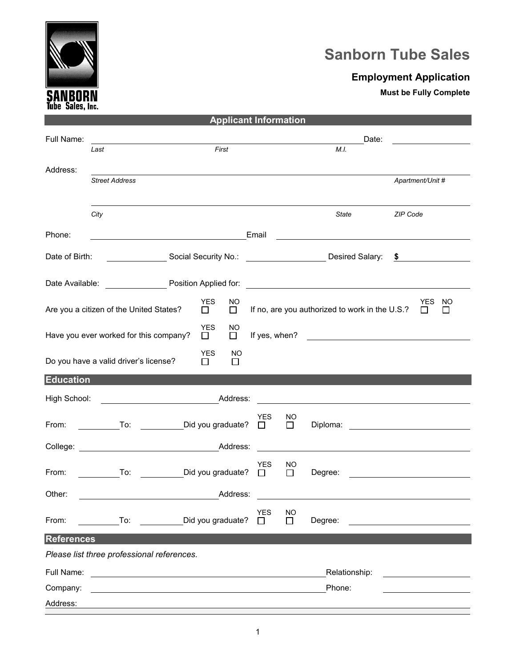

## **Sanborn Tube Sales**

## **Employment Application**

**Must be Fully Complete**

| <b>Applicant Information</b>                                              |                                                                                         |                   |                      |               |            |        |                                                    |               |          |                                     |  |
|---------------------------------------------------------------------------|-----------------------------------------------------------------------------------------|-------------------|----------------------|---------------|------------|--------|----------------------------------------------------|---------------|----------|-------------------------------------|--|
| Full Name:                                                                |                                                                                         |                   |                      |               |            | Date:  |                                                    |               |          |                                     |  |
|                                                                           | Last                                                                                    |                   |                      | First         |            |        | M.I.                                               |               |          |                                     |  |
| Address:                                                                  |                                                                                         |                   |                      |               |            |        |                                                    |               |          |                                     |  |
|                                                                           | <b>Street Address</b>                                                                   |                   |                      |               |            |        |                                                    |               |          | Apartment/Unit #                    |  |
|                                                                           |                                                                                         |                   |                      |               |            |        |                                                    |               |          |                                     |  |
|                                                                           | City                                                                                    |                   |                      |               |            |        | State                                              |               | ZIP Code |                                     |  |
|                                                                           |                                                                                         |                   |                      |               |            |        |                                                    |               |          |                                     |  |
| Phone:                                                                    |                                                                                         |                   |                      |               | Email      |        | <u> 1980 - John Stein, Amerikaansk politiker (</u> |               |          |                                     |  |
| Date of Birth:                                                            | _____________________Social Security No.: ______________________________Desired Salary: |                   |                      |               |            |        |                                                    |               |          | $\frac{1}{2}$                       |  |
|                                                                           |                                                                                         |                   |                      |               |            |        |                                                    |               |          |                                     |  |
|                                                                           |                                                                                         |                   |                      |               |            |        |                                                    |               |          |                                     |  |
|                                                                           |                                                                                         |                   | <b>YES</b>           | NO            |            |        |                                                    |               |          | YES<br>NO                           |  |
|                                                                           | Are you a citizen of the United States?                                                 |                   | $\mathsf{L}$         | $\Box$        |            |        | If no, are you authorized to work in the U.S.?     |               |          |                                     |  |
|                                                                           | Have you ever worked for this company?                                                  |                   | <b>YES</b><br>$\Box$ | NO.<br>$\Box$ |            |        |                                                    |               |          |                                     |  |
|                                                                           |                                                                                         |                   | YES.                 | NO            |            |        |                                                    |               |          |                                     |  |
|                                                                           | Do you have a valid driver's license?                                                   |                   | $\perp$              | $\Box$        |            |        |                                                    |               |          |                                     |  |
| <b>Education</b>                                                          |                                                                                         |                   |                      |               |            |        |                                                    |               |          |                                     |  |
| High School:<br><u> 1989 - Johann Barnett, fransk politiker (d. 1989)</u> |                                                                                         |                   |                      |               |            |        |                                                    |               |          |                                     |  |
|                                                                           |                                                                                         |                   |                      |               | <b>YES</b> | NO.    |                                                    |               |          |                                     |  |
|                                                                           | From: To: Did you graduate?                                                             |                   |                      |               | $\Box$     | $\Box$ |                                                    |               |          |                                     |  |
|                                                                           |                                                                                         |                   |                      |               |            |        |                                                    |               |          |                                     |  |
|                                                                           |                                                                                         |                   |                      |               | YES.       | NO.    |                                                    |               |          |                                     |  |
| From:                                                                     | To: Did you graduate?                                                                   |                   |                      |               | $\Box$     | П      |                                                    |               |          | Degree: <u>____________________</u> |  |
| Other:                                                                    |                                                                                         |                   |                      | Address:      |            |        |                                                    |               |          |                                     |  |
|                                                                           |                                                                                         |                   |                      |               | <b>YES</b> | NO     |                                                    |               |          |                                     |  |
| From:                                                                     | To:                                                                                     | Did you graduate? |                      |               | $\perp$    | □      | Degree:                                            |               |          |                                     |  |
| <b>References</b>                                                         |                                                                                         |                   |                      |               |            |        |                                                    |               |          |                                     |  |
|                                                                           | Please list three professional references.                                              |                   |                      |               |            |        |                                                    |               |          |                                     |  |
| Full Name:                                                                |                                                                                         |                   |                      |               |            |        |                                                    | Relationship: |          |                                     |  |
| Company:                                                                  |                                                                                         |                   |                      |               |            |        | Phone:                                             |               |          |                                     |  |
| Address:                                                                  |                                                                                         |                   |                      |               |            |        |                                                    |               |          |                                     |  |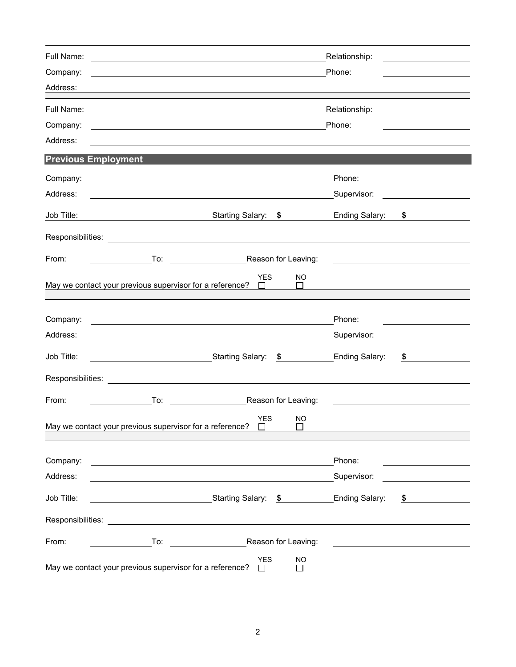| Full Name:<br>Company:<br>Address: |                                                                                                                                                                                                                                                | Relationship:<br><u> 1986 - Jan Barbara Barbara, prima prima prima prima prima prima prima prima prima prima prima prima prima pri</u><br>Phone: |  |
|------------------------------------|------------------------------------------------------------------------------------------------------------------------------------------------------------------------------------------------------------------------------------------------|--------------------------------------------------------------------------------------------------------------------------------------------------|--|
| Full Name:<br>Company:<br>Address: | <u> 1980 - Andrea Barbara, amerikan personal (h. 1980).</u><br><u> 1989 - Andrea Barbara, amerikan personal dan personal dan personal dan personal dan personal dan personal da</u><br><u> 1980 - Johann Barnett, fransk politik (f. 1980)</u> | Relationship:<br>Phone:                                                                                                                          |  |
|                                    | <b>Previous Employment</b>                                                                                                                                                                                                                     |                                                                                                                                                  |  |
| Company:<br>Address:               |                                                                                                                                                                                                                                                | Phone:<br>Supervisor:<br><u> 1990 - Jan Stein Berlin, amerikansk politiker</u>                                                                   |  |
| Job Title:                         | Starting Salary: \$<br><u> 1980 - Johann Barnett, fransk politiker (</u>                                                                                                                                                                       | Ending Salary:<br>\$                                                                                                                             |  |
| Responsibilities:                  |                                                                                                                                                                                                                                                |                                                                                                                                                  |  |
| From:                              | Reason for Leaving:<br>To:                                                                                                                                                                                                                     |                                                                                                                                                  |  |
|                                    | <b>YES</b><br>NO.<br>May we contact your previous supervisor for a reference?<br>$\blacksquare$<br>$\perp$                                                                                                                                     |                                                                                                                                                  |  |
| Company:<br>Address:               | <u> 1989 - Johann Barn, mars ann an t-Amhain ann an t-Amhain an t-Amhain an t-Amhain an t-Amhain an t-Amhain an t-</u>                                                                                                                         | Phone:<br>Supervisor:                                                                                                                            |  |
| Job Title:                         | _________________________________Starting Salary:<br>$\sim$                                                                                                                                                                                    | <b>Ending Salary:</b><br>\$                                                                                                                      |  |
| Responsibilities:                  |                                                                                                                                                                                                                                                |                                                                                                                                                  |  |
| From:                              | To:<br>Reason for Leaving:                                                                                                                                                                                                                     |                                                                                                                                                  |  |
|                                    | <b>YES</b><br><b>NO</b><br>May we contact your previous supervisor for a reference?                                                                                                                                                            |                                                                                                                                                  |  |
| Company:<br>Address:               | <u> 1980 - Johann Barn, fransk politik (d. 1980)</u>                                                                                                                                                                                           | Phone:<br>Supervisor:                                                                                                                            |  |
| Job Title:                         |                                                                                                                                                                                                                                                | Ending Salary:<br>\$                                                                                                                             |  |
|                                    |                                                                                                                                                                                                                                                |                                                                                                                                                  |  |
| From:                              | Reason for Leaving:<br>To:                                                                                                                                                                                                                     |                                                                                                                                                  |  |
|                                    | <b>YES</b><br><b>NO</b><br>May we contact your previous supervisor for a reference?                                                                                                                                                            |                                                                                                                                                  |  |